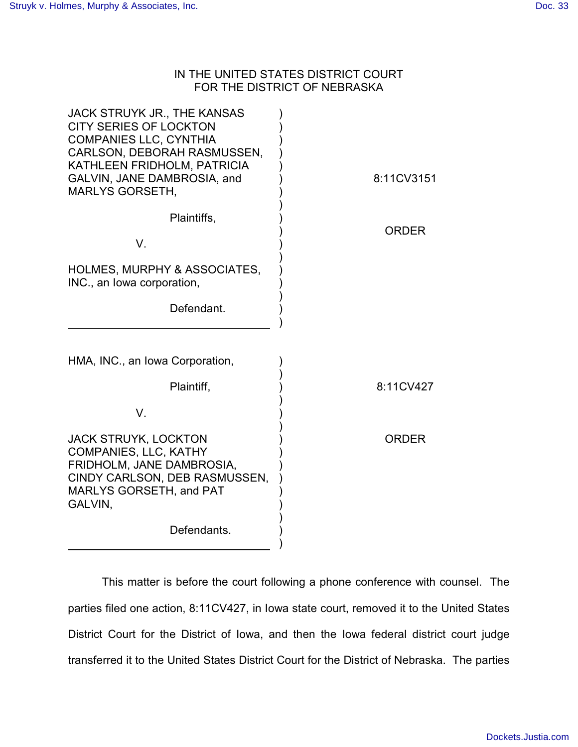## IN THE UNITED STATES DISTRICT COURT FOR THE DISTRICT OF NEBRASKA

| <b>JACK STRUYK JR., THE KANSAS</b><br><b>CITY SERIES OF LOCKTON</b><br><b>COMPANIES LLC, CYNTHIA</b><br>CARLSON, DEBORAH RASMUSSEN,<br>KATHLEEN FRIDHOLM, PATRICIA<br>GALVIN, JANE DAMBROSIA, and<br><b>MARLYS GORSETH,</b> | 8:11CV3151   |
|-----------------------------------------------------------------------------------------------------------------------------------------------------------------------------------------------------------------------------|--------------|
| Plaintiffs,                                                                                                                                                                                                                 |              |
| V.                                                                                                                                                                                                                          | <b>ORDER</b> |
| HOLMES, MURPHY & ASSOCIATES,<br>INC., an Iowa corporation,                                                                                                                                                                  |              |
| Defendant.                                                                                                                                                                                                                  |              |
| HMA, INC., an Iowa Corporation,<br>Plaintiff,                                                                                                                                                                               | 8:11CV427    |
|                                                                                                                                                                                                                             |              |
| V.                                                                                                                                                                                                                          |              |
| JACK STRUYK, LOCKTON<br><b>COMPANIES, LLC, KATHY</b><br>FRIDHOLM, JANE DAMBROSIA,<br>CINDY CARLSON, DEB RASMUSSEN,<br><b>MARLYS GORSETH, and PAT</b><br>GALVIN,                                                             | <b>ORDER</b> |
| Defendants.                                                                                                                                                                                                                 |              |
|                                                                                                                                                                                                                             |              |

This matter is before the court following a phone conference with counsel. The parties filed one action, 8:11CV427, in Iowa state court, removed it to the United States District Court for the District of Iowa, and then the Iowa federal district court judge transferred it to the United States District Court for the District of Nebraska. The parties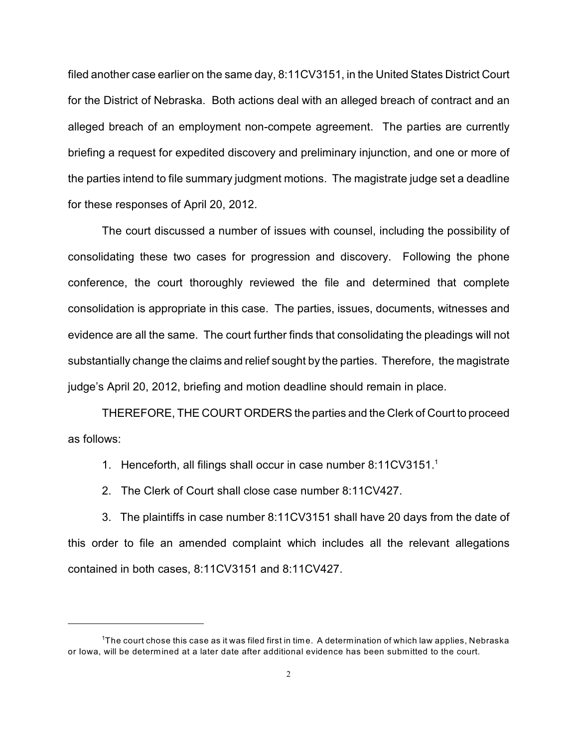filed another case earlier on the same day, 8:11CV3151, in the United States District Court for the District of Nebraska. Both actions deal with an alleged breach of contract and an alleged breach of an employment non-compete agreement. The parties are currently briefing a request for expedited discovery and preliminary injunction, and one or more of the parties intend to file summary judgment motions. The magistrate judge set a deadline for these responses of April 20, 2012.

The court discussed a number of issues with counsel, including the possibility of consolidating these two cases for progression and discovery. Following the phone conference, the court thoroughly reviewed the file and determined that complete consolidation is appropriate in this case. The parties, issues, documents, witnesses and evidence are all the same. The court further finds that consolidating the pleadings will not substantially change the claims and relief sought by the parties. Therefore, the magistrate judge's April 20, 2012, briefing and motion deadline should remain in place.

THEREFORE, THE COURT ORDERS the parties and the Clerk of Court to proceed as follows:

- 1. Henceforth, all filings shall occur in case number 8:11CV3151.<sup>1</sup>
- 2. The Clerk of Court shall close case number 8:11CV427.

3. The plaintiffs in case number 8:11CV3151 shall have 20 days from the date of this order to file an amended complaint which includes all the relevant allegations contained in both cases, 8:11CV3151 and 8:11CV427.

<sup>&</sup>lt;sup>1</sup>The court chose this case as it was filed first in time. A determination of which law applies, Nebraska or Iowa, will be determined at a later date after additional evidence has been submitted to the court.